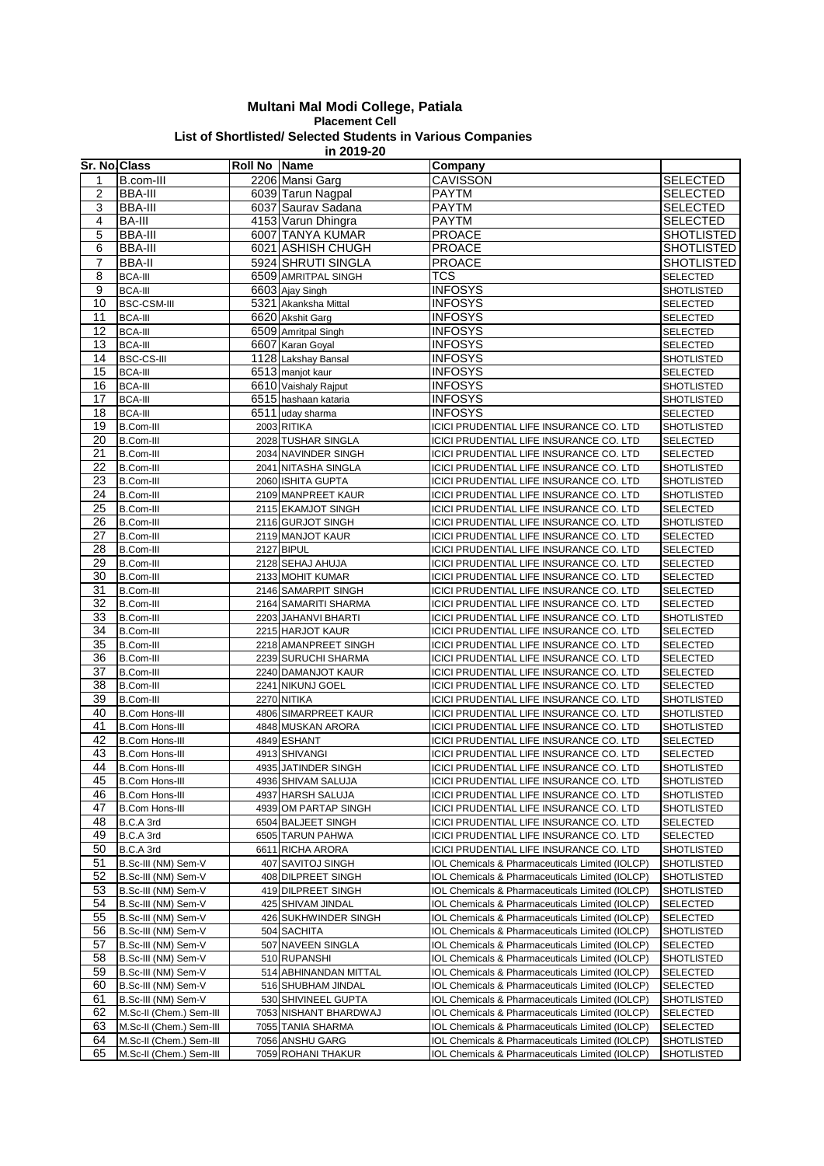## **Multani Mal Modi College, Patiala Placement Cell List of Shortlisted/ Selected Students in Various Companies in 2019-20**

| Sr. No. Class |                                            | <b>Roll No Name</b> |                                             | Company                                                                                            |                                    |
|---------------|--------------------------------------------|---------------------|---------------------------------------------|----------------------------------------------------------------------------------------------------|------------------------------------|
| 1             | B.com-III                                  |                     | 2206 Mansi Garg                             | CAVISSON                                                                                           | <b>SELECTED</b>                    |
| 2             | <b>BBA-III</b>                             |                     | 6039 Tarun Nagpal                           | <b>PAYTM</b>                                                                                       | <b>SELECTED</b>                    |
| 3             | <b>BBA-III</b>                             |                     | 6037 Saurav Sadana                          | <b>PAYTM</b>                                                                                       | <b>SELECTED</b>                    |
| 4             | <b>BA-III</b>                              |                     | 4153 Varun Dhingra                          | <b>PAYTM</b>                                                                                       | <b>SELECTED</b>                    |
| 5             | <b>BBA-III</b>                             |                     | 6007 TANYA KUMAR                            | PROACE                                                                                             | <b>SHOTLISTED</b>                  |
| 6             | <b>BBA-III</b>                             |                     | 6021 ASHISH CHUGH                           | <b>PROACE</b>                                                                                      | <b>SHOTLISTED</b>                  |
| 7             | <b>BBA-II</b>                              |                     | 5924 SHRUTI SINGLA                          | <b>PROACE</b>                                                                                      | <b>SHOTLISTED</b>                  |
| 8             | <b>BCA-III</b>                             |                     | 6509 AMRITPAL SINGH                         | <b>TCS</b>                                                                                         | SELECTED                           |
| 9             | <b>BCA-III</b>                             |                     | 6603 Ajay Singh                             | <b>INFOSYS</b>                                                                                     | <b>SHOTLISTED</b>                  |
| 10            | <b>BSC-CSM-III</b>                         |                     | 5321 Akanksha Mittal                        | <b>INFOSYS</b>                                                                                     | <b>SELECTED</b>                    |
| 11            | <b>BCA-III</b>                             |                     | 6620 Akshit Garg                            | <b>INFOSYS</b>                                                                                     | <b>SELECTED</b>                    |
| 12            | <b>BCA-III</b>                             |                     | 6509 Amritpal Singh                         | <b>INFOSYS</b>                                                                                     | <b>SELECTED</b>                    |
| 13            | <b>BCA-III</b>                             |                     | 6607 Karan Goyal                            | <b>INFOSYS</b>                                                                                     | <b>SELECTED</b>                    |
| 14            | <b>BSC-CS-III</b>                          |                     | 1128 Lakshay Bansal                         | <b>INFOSYS</b>                                                                                     | <b>SHOTLISTED</b>                  |
| 15            | <b>BCA-III</b>                             |                     | 6513 manjot kaur                            | <b>INFOSYS</b>                                                                                     | <b>SELECTED</b>                    |
| 16            | <b>BCA-III</b>                             |                     | 6610 Vaishaly Rajput                        | <b>INFOSYS</b>                                                                                     | <b>SHOTLISTED</b>                  |
| 17            | <b>BCA-III</b>                             |                     | 6515 hashaan kataria                        | <b>INFOSYS</b>                                                                                     | SHOTLISTED                         |
| 18            | <b>BCA-III</b>                             |                     | 6511 uday sharma                            | <b>INFOSYS</b>                                                                                     | <b>SELECTED</b>                    |
| 19            | <b>B.Com-III</b>                           |                     | 2003 RITIKA                                 | ICICI PRUDENTIAL LIFE INSURANCE CO. LTD                                                            | <b>SHOTLISTED</b>                  |
| 20            | <b>B.Com-III</b>                           |                     | 2028 TUSHAR SINGLA                          | ICICI PRUDENTIAL LIFE INSURANCE CO. LTD                                                            | <b>SELECTED</b>                    |
| 21            | <b>B.Com-III</b>                           |                     | 2034 NAVINDER SINGH                         | ICICI PRUDENTIAL LIFE INSURANCE CO. LTD                                                            | <b>SELECTED</b>                    |
| 22            | <b>B.Com-III</b>                           |                     | 2041 NITASHA SINGLA                         | ICICI PRUDENTIAL LIFE INSURANCE CO. LTD                                                            | SHOTLISTED                         |
| 23            | <b>B.Com-III</b>                           |                     | 2060 ISHITA GUPTA                           | ICICI PRUDENTIAL LIFE INSURANCE CO. LTD                                                            | <b>SHOTLISTED</b>                  |
| 24            | <b>B.Com-III</b>                           |                     | 2109 MANPREET KAUR                          | ICICI PRUDENTIAL LIFE INSURANCE CO. LTD                                                            | <b>SHOTLISTED</b>                  |
| 25            | <b>B.Com-III</b>                           |                     | 2115 EKAMJOT SINGH                          | ICICI PRUDENTIAL LIFE INSURANCE CO. LTD                                                            | SELECTED                           |
| 26            | <b>B.Com-III</b>                           |                     | 2116 GURJOT SINGH                           | ICICI PRUDENTIAL LIFE INSURANCE CO. LTD<br>ICICI PRUDENTIAL LIFE INSURANCE CO. LTD                 | <b>SHOTLISTED</b>                  |
| 27<br>28      | <b>B.Com-III</b><br><b>B.Com-III</b>       |                     | 2119 MANJOT KAUR<br>2127 BIPUL              | ICICI PRUDENTIAL LIFE INSURANCE CO. LTD                                                            | <b>SELECTED</b><br><b>SELECTED</b> |
| 29            | <b>B.Com-III</b>                           |                     | 2128 SEHAJ AHUJA                            | ICICI PRUDENTIAL LIFE INSURANCE CO. LTD                                                            | <b>SELECTED</b>                    |
| 30            | <b>B.Com-III</b>                           |                     | 2133 MOHIT KUMAR                            | ICICI PRUDENTIAL LIFE INSURANCE CO. LTD                                                            | <b>SELECTED</b>                    |
| 31            | <b>B.Com-III</b>                           |                     | 2146 SAMARPIT SINGH                         | ICICI PRUDENTIAL LIFE INSURANCE CO. LTD                                                            | <b>SELECTED</b>                    |
| 32            | <b>B.Com-III</b>                           |                     | 2164 SAMARITI SHARMA                        | ICICI PRUDENTIAL LIFE INSURANCE CO. LTD                                                            | <b>SELECTED</b>                    |
| 33            | <b>B.Com-III</b>                           |                     | 2203 JAHANVI BHARTI                         | ICICI PRUDENTIAL LIFE INSURANCE CO. LTD                                                            | <b>SHOTLISTED</b>                  |
| 34            | <b>B.Com-III</b>                           |                     | 2215 HARJOT KAUR                            | ICICI PRUDENTIAL LIFE INSURANCE CO. LTD                                                            | <b>SELECTED</b>                    |
| 35            | <b>B.Com-III</b>                           |                     | 2218 AMANPREET SINGH                        | ICICI PRUDENTIAL LIFE INSURANCE CO. LTD                                                            | <b>SELECTED</b>                    |
| 36            | <b>B.Com-III</b>                           |                     | 2239 SURUCHI SHARMA                         | ICICI PRUDENTIAL LIFE INSURANCE CO. LTD                                                            | <b>SELECTED</b>                    |
| 37            | <b>B.Com-III</b>                           |                     | 2240 DAMANJOT KAUR                          | ICICI PRUDENTIAL LIFE INSURANCE CO. LTD                                                            | <b>SELECTED</b>                    |
| 38            | <b>B.Com-III</b>                           |                     | 2241 NIKUNJ GOEL                            | ICICI PRUDENTIAL LIFE INSURANCE CO. LTD                                                            | <b>SELECTED</b>                    |
| 39            | <b>B.Com-III</b>                           |                     | 2270 NITIKA                                 | ICICI PRUDENTIAL LIFE INSURANCE CO. LTD                                                            | <b>SHOTLISTED</b>                  |
| 40            | <b>B.Com Hons-III</b>                      |                     | 4806 SIMARPREET KAUR                        | ICICI PRUDENTIAL LIFE INSURANCE CO. LTD                                                            | SHOTLISTED                         |
| 41            | <b>B.Com Hons-III</b>                      |                     | 4848 MUSKAN ARORA                           | ICICI PRUDENTIAL LIFE INSURANCE CO. LTD                                                            | <b>SHOTLISTED</b>                  |
| 42            | <b>B.Com Hons-III</b>                      |                     | 4849 ESHANT                                 | ICICI PRUDENTIAL LIFE INSURANCE CO. LTD                                                            | <b>SELECTED</b>                    |
| 43            | <b>B.Com Hons-III</b>                      |                     | 4913 SHIVANGI                               | ICICI PRUDENTIAL LIFE INSURANCE CO. LTD                                                            | <b>SELECTED</b>                    |
| 44            | <b>B.Com Hons-III</b>                      |                     | 4935 JATINDER SINGH                         | ICICI PRUDENTIAL LIFE INSURANCE CO. LTD                                                            | <b>SHOTLISTED</b>                  |
| 45            | <b>B.Com Hons-III</b>                      |                     | 4936 SHIVAM SALUJA                          | ICICI PRUDENTIAL LIFE INSURANCE CO. LTD                                                            | <b>SHOTLISTED</b>                  |
| 46            | <b>B.Com Hons-III</b>                      |                     | 4937 HARSH SALUJA                           | ICICI PRUDENTIAL LIFE INSURANCE CO. LTD                                                            | <b>SHOTLISTED</b>                  |
| 47            | <b>B.Com Hons-III</b>                      |                     | 4939 OM PARTAP SINGH                        | ICICI PRUDENTIAL LIFE INSURANCE CO. LTD                                                            | <b>SHOTLISTED</b>                  |
| 48            | B.C.A 3rd                                  |                     | 6504 BALJEET SINGH                          | ICICI PRUDENTIAL LIFE INSURANCE CO. LTD                                                            | <b>SELECTED</b>                    |
| 49            | B.C.A 3rd                                  |                     | 6505 TARUN PAHWA                            | ICICI PRUDENTIAL LIFE INSURANCE CO. LTD                                                            | SELECTED                           |
| 50            | B.C.A 3rd                                  |                     | 6611 RICHA ARORA                            | ICICI PRUDENTIAL LIFE INSURANCE CO. LTD                                                            | <b>SHOTLISTED</b>                  |
| 51            | B.Sc-III (NM) Sem-V                        |                     | 407 SAVITOJ SINGH                           | IOL Chemicals & Pharmaceuticals Limited (IOLCP)                                                    | <b>SHOTLISTED</b>                  |
| 52            | B.Sc-III (NM) Sem-V                        |                     | 408 DILPREET SINGH                          | IOL Chemicals & Pharmaceuticals Limited (IOLCP)                                                    | <b>SHOTLISTED</b>                  |
| 53            | B.Sc-III (NM) Sem-V                        |                     | 419 DILPREET SINGH                          | IOL Chemicals & Pharmaceuticals Limited (IOLCP)                                                    | <b>SHOTLISTED</b>                  |
| 54            | B.Sc-III (NM) Sem-V                        |                     | 425 SHIVAM JINDAL                           | IOL Chemicals & Pharmaceuticals Limited (IOLCP)                                                    | <b>SELECTED</b>                    |
| 55            | B.Sc-III (NM) Sem-V                        |                     | 426 SUKHWINDER SINGH                        | IOL Chemicals & Pharmaceuticals Limited (IOLCP)                                                    | <b>SELECTED</b>                    |
| 56            | B.Sc-III (NM) Sem-V                        |                     | 504 SACHITA                                 | IOL Chemicals & Pharmaceuticals Limited (IOLCP)                                                    | <b>SHOTLISTED</b>                  |
| 57            | B.Sc-III (NM) Sem-V                        |                     | 507 NAVEEN SINGLA                           | IOL Chemicals & Pharmaceuticals Limited (IOLCP)                                                    | SELECTED                           |
| 58<br>59      | B.Sc-III (NM) Sem-V                        |                     | 510 RUPANSHI                                | IOL Chemicals & Pharmaceuticals Limited (IOLCP)                                                    | <b>SHOTLISTED</b>                  |
| 60            | B.Sc-III (NM) Sem-V<br>B.Sc-III (NM) Sem-V |                     | 514 ABHINANDAN MITTAL<br>516 SHUBHAM JINDAL | IOL Chemicals & Pharmaceuticals Limited (IOLCP)<br>IOL Chemicals & Pharmaceuticals Limited (IOLCP) | <b>SELECTED</b><br><b>SELECTED</b> |
| 61            | B.Sc-III (NM) Sem-V                        |                     | 530 SHIVINEEL GUPTA                         | IOL Chemicals & Pharmaceuticals Limited (IOLCP)                                                    | <b>SHOTLISTED</b>                  |
| 62            | M.Sc-II (Chem.) Sem-III                    |                     | 7053 NISHANT BHARDWAJ                       | IOL Chemicals & Pharmaceuticals Limited (IOLCP)                                                    | <b>SELECTED</b>                    |
| 63            | M.Sc-II (Chem.) Sem-III                    |                     | 7055 TANIA SHARMA                           | IOL Chemicals & Pharmaceuticals Limited (IOLCP)                                                    | <b>SELECTED</b>                    |
| 64            | M.Sc-II (Chem.) Sem-III                    |                     | 7056 ANSHU GARG                             | IOL Chemicals & Pharmaceuticals Limited (IOLCP)                                                    | <b>SHOTLISTED</b>                  |
| 65            | M.Sc-II (Chem.) Sem-III                    |                     | 7059 ROHANI THAKUR                          | IOL Chemicals & Pharmaceuticals Limited (IOLCP)                                                    | <b>SHOTLISTED</b>                  |